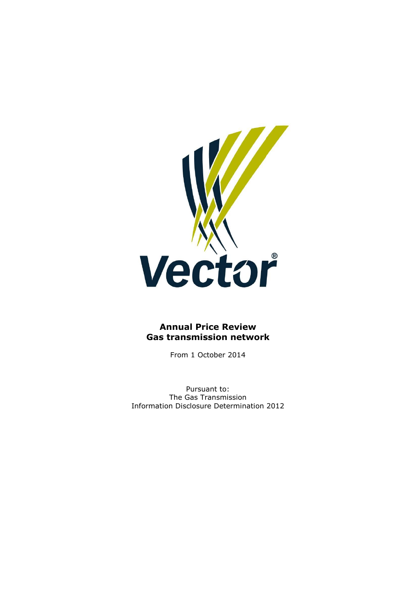

# **Annual Price Review Gas transmission network**

From 1 October 2014

Pursuant to: The Gas Transmission Information Disclosure Determination 2012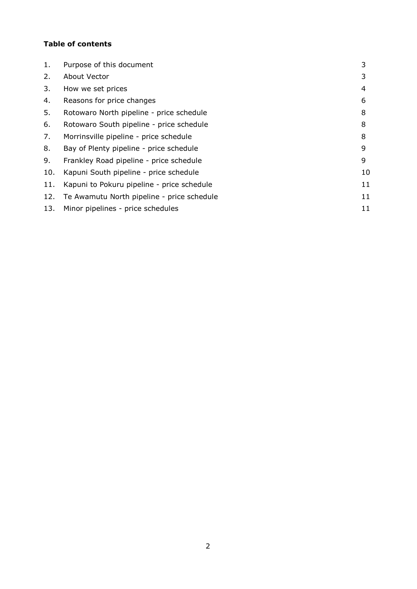## **Table of contents**

| Purpose of this document                   | 3  |
|--------------------------------------------|----|
| About Vector                               | 3  |
| How we set prices                          | 4  |
| Reasons for price changes                  | 6  |
| Rotowaro North pipeline - price schedule   | 8  |
| Rotowaro South pipeline - price schedule   | 8  |
| Morrinsville pipeline - price schedule     | 8  |
| Bay of Plenty pipeline - price schedule    | 9  |
| Frankley Road pipeline - price schedule    | 9  |
| Kapuni South pipeline - price schedule     | 10 |
| Kapuni to Pokuru pipeline - price schedule | 11 |
| Te Awamutu North pipeline - price schedule | 11 |
| Minor pipelines - price schedules          | 11 |
|                                            |    |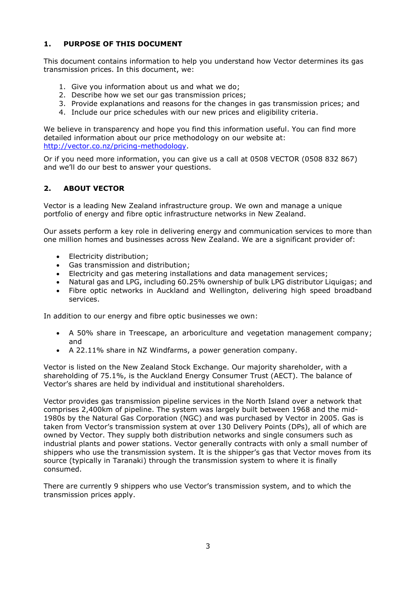### **1. PURPOSE OF THIS DOCUMENT**

This document contains information to help you understand how Vector determines its gas transmission prices. In this document, we:

- 1. Give you information about us and what we do;
- 2. Describe how we set our gas transmission prices;
- 3. Provide explanations and reasons for the changes in gas transmission prices; and
- 4. Include our price schedules with our new prices and eligibility criteria.

We believe in transparency and hope you find this information useful. You can find more detailed information about our price methodology on our website at: [http://vector.co.nz/pricing-methodology.](http://vector.co.nz/pricing-methodology)

Or if you need more information, you can give us a call at 0508 VECTOR (0508 832 867) and we'll do our best to answer your questions.

### **2. ABOUT VECTOR**

Vector is a leading New Zealand infrastructure group. We own and manage a unique portfolio of energy and fibre optic infrastructure networks in New Zealand.

Our assets perform a key role in delivering energy and communication services to more than one million homes and businesses across New Zealand. We are a significant provider of:

- Electricity distribution;
- Gas transmission and distribution;
- Electricity and gas metering installations and data management services;
- Natural gas and LPG, including 60.25% ownership of bulk LPG distributor Liquigas; and
- Fibre optic networks in Auckland and Wellington, delivering high speed broadband services.

In addition to our energy and fibre optic businesses we own:

- A 50% share in Treescape, an arboriculture and vegetation management company; and
- A 22.11% share in NZ Windfarms, a power generation company.

Vector is listed on the New Zealand Stock Exchange. Our majority shareholder, with a shareholding of 75.1%, is the Auckland Energy Consumer Trust (AECT). The balance of Vector's shares are held by individual and institutional shareholders.

Vector provides gas transmission pipeline services in the North Island over a network that comprises 2,400km of pipeline. The system was largely built between 1968 and the mid-1980s by the Natural Gas Corporation (NGC) and was purchased by Vector in 2005. Gas is taken from Vector's transmission system at over 130 Delivery Points (DPs), all of which are owned by Vector. They supply both distribution networks and single consumers such as industrial plants and power stations. Vector generally contracts with only a small number of shippers who use the transmission system. It is the shipper's gas that Vector moves from its source (typically in Taranaki) through the transmission system to where it is finally consumed.

There are currently 9 shippers who use Vector's transmission system, and to which the transmission prices apply.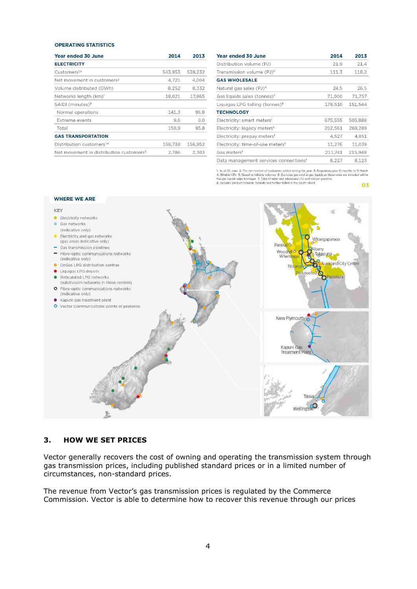#### **OPERATING STATISTICS**

| <b>Year ended 30 June</b>                           | 2014    | 2013    |
|-----------------------------------------------------|---------|---------|
| <b>ELECTRICITY</b>                                  |         |         |
| Customers <sup>1,4</sup>                            | 543,953 | 539.232 |
| Net movement in customers <sup>2</sup>              | 4.721   | 4.004   |
| Volume distributed (GWh)                            | 8,252   | 8.332   |
| Networks length (km) <sup>1</sup>                   | 18,021  | 17,865  |
| SAIDI (minutes) <sup>3</sup>                        |         |         |
| Normal operations                                   | 141.3   | 95.8    |
| <b>Extreme events</b>                               | 9.6     | 0,0     |
| Total                                               | 150.9   | 95.8    |
| <b>GAS TRANSPORTATION</b>                           |         |         |
| Distribution customers <sup>14</sup>                | 159.738 | 156.952 |
| Net movement in distribution customers <sup>2</sup> | 2.786   | 2.303   |

| <b>Year ended 30 June</b>                         | 2014    | 2013    |
|---------------------------------------------------|---------|---------|
| Distribution volume (PJ)                          | 21.9    | 21.4    |
| Transmission volume (PJ) <sup>5</sup>             | 111.3   | 118.2   |
| <b>GAS WHOLESALE</b>                              |         |         |
| Natural gas sales (PJ) <sup>6</sup>               | 24.5    | 26.5    |
| Gas liquids sales (tonnes) <sup>7</sup>           | 71,000  | 71,757  |
| Liquigas LPG tolling (tonnes) <sup>8</sup>        | 178,510 | 151,544 |
| <b>TECHNOLOGY</b>                                 |         |         |
| Electricity: smart meters <sup>1</sup>            | 675,555 | 505,888 |
| Electricity: legacy meters <sup>1</sup>           | 202,561 | 269,289 |
| Electricity: prepay meters <sup>1</sup>           | 4,527   | 4,851   |
| Electricity: time-of-use meters <sup>1</sup>      | 11,276  | 11,039  |
| Gas meters <sup>1</sup>                           | 211,741 | 215.948 |
| Data management services connections <sup>1</sup> | 8.227   | 8.123   |

1. As at 30 June 2. The net number of customers added during the year 3. Regulatory year 12 months to 31 March<br>4. Billable ICPs 5. Based on billable volumes 6. Excludes gas sold as gas liquids as these sales are included

03



### **3. HOW WE SET PRICES**

Vector generally recovers the cost of owning and operating the transmission system through gas transmission prices, including published standard prices or in a limited number of circumstances, non-standard prices.

The revenue from Vector's gas transmission prices is regulated by the Commerce Commission. Vector is able to determine how to recover this revenue through our prices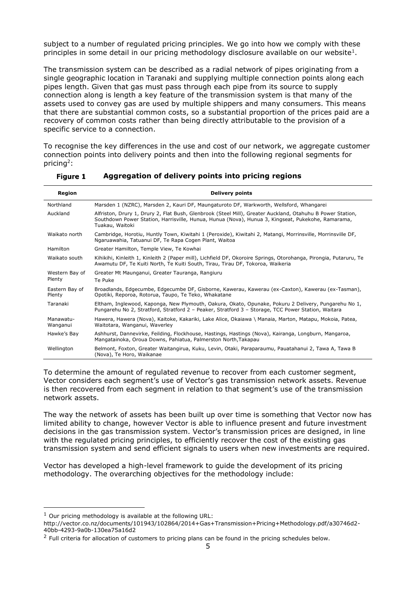subject to a number of regulated pricing principles. We go into how we comply with these principles in some detail in our pricing methodology disclosure available on our website<sup>1</sup>.

The transmission system can be described as a radial network of pipes originating from a single geographic location in Taranaki and supplying multiple connection points along each pipes length. Given that gas must pass through each pipe from its source to supply connection along is length a key feature of the transmission system is that many of the assets used to convey gas are used by multiple shippers and many consumers. This means that there are substantial common costs, so a substantial proportion of the prices paid are a recovery of common costs rather than being directly attributable to the provision of a specific service to a connection.

To recognise the key differences in the use and cost of our network, we aggregate customer connection points into delivery points and then into the following regional segments for pricing<sup>2</sup>:

| Region                   | <b>Delivery points</b>                                                                                                                                                                                                             |
|--------------------------|------------------------------------------------------------------------------------------------------------------------------------------------------------------------------------------------------------------------------------|
| Northland                | Marsden 1 (NZRC), Marsden 2, Kauri DF, Maungaturoto DF, Warkworth, Wellsford, Whangarei                                                                                                                                            |
| Auckland                 | Alfriston, Drury 1, Drury 2, Flat Bush, Glenbrook (Steel Mill), Greater Auckland, Otahuhu B Power Station,<br>Southdown Power Station, Harrisville, Hunua, Hunua (Nova), Hunua 3, Kingseat, Pukekohe, Ramarama,<br>Tuakau, Waitoki |
| Waikato north            | Cambridge, Horotiu, Huntly Town, Kiwitahi 1 (Peroxide), Kiwitahi 2, Matangi, Morrinsville, Morrinsville DF,<br>Ngaruawahia, Tatuanui DF, Te Rapa Cogen Plant, Waitoa                                                               |
| Hamilton                 | Greater Hamilton, Temple View, Te Kowhai                                                                                                                                                                                           |
| Waikato south            | Kihikihi, Kinleith 1, Kinleith 2 (Paper mill), Lichfield DF, Okoroire Springs, Otorohanga, Pirongia, Putaruru, Te<br>Awamutu DF, Te Kuiti North, Te Kuiti South, Tirau, Tirau DF, Tokoroa, Waikeria                                |
| Western Bay of           | Greater Mt Maunganui, Greater Tauranga, Rangiuru                                                                                                                                                                                   |
| Plenty                   | Te Puke                                                                                                                                                                                                                            |
| Eastern Bay of<br>Plenty | Broadlands, Edgecumbe, Edgecumbe DF, Gisborne, Kawerau, Kawerau (ex-Caxton), Kawerau (ex-Tasman),<br>Opotiki, Reporoa, Rotorua, Taupo, Te Teko, Whakatane                                                                          |
| Taranaki                 | Eltham, Inglewood, Kaponga, New Plymouth, Oakura, Okato, Opunake, Pokuru 2 Delivery, Pungarehu No 1,<br>Pungarehu No 2, Stratford, Stratford 2 - Peaker, Stratford 3 - Storage, TCC Power Station, Waitara                         |
| Manawatu-<br>Wanganui    | Hawera, Hawera (Nova), Kaitoke, Kakariki, Lake Alice, Okaiawa \ Manaia, Marton, Matapu, Mokoia, Patea,<br>Waitotara, Wanganui, Waverley                                                                                            |
| Hawke's Bay              | Ashhurst, Dannevirke, Feilding, Flockhouse, Hastings, Hastings (Nova), Kairanga, Longburn, Mangaroa,<br>Mangatainoka, Oroua Downs, Pahiatua, Palmerston North, Takapau                                                             |
| Wellington               | Belmont, Foxton, Greater Waitangirua, Kuku, Levin, Otaki, Paraparaumu, Pauatahanui 2, Tawa A, Tawa B<br>(Nova), Te Horo, Waikanae                                                                                                  |

**Aggregation of delivery points into pricing regions** Figure 1

To determine the amount of regulated revenue to recover from each customer segment, Vector considers each segment's use of Vector's gas transmission network assets. Revenue is then recovered from each segment in relation to that segment's use of the transmission network assets.

The way the network of assets has been built up over time is something that Vector now has limited ability to change, however Vector is able to influence present and future investment decisions in the gas transmission system. Vector's transmission prices are designed, in line with the regulated pricing principles, to efficiently recover the cost of the existing gas transmission system and send efficient signals to users when new investments are required.

Vector has developed a high-level framework to guide the development of its pricing methodology. The overarching objectives for the methodology include:

 $1$  Our pricing methodology is available at the following URL:

http://vector.co.nz/documents/101943/102864/2014+Gas+Transmission+Pricing+Methodology.pdf/a30746d2- 40bb-4293-9a0b-130ea75a16d2

 $2$  Full criteria for allocation of customers to pricing plans can be found in the pricing schedules below.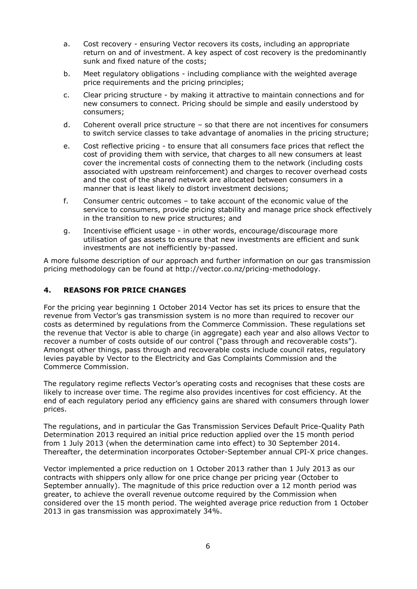- a. Cost recovery ensuring Vector recovers its costs, including an appropriate return on and of investment. A key aspect of cost recovery is the predominantly sunk and fixed nature of the costs;
- b. Meet regulatory obligations including compliance with the weighted average price requirements and the pricing principles;
- c. Clear pricing structure by making it attractive to maintain connections and for new consumers to connect. Pricing should be simple and easily understood by consumers;
- d. Coherent overall price structure so that there are not incentives for consumers to switch service classes to take advantage of anomalies in the pricing structure;
- e. Cost reflective pricing to ensure that all consumers face prices that reflect the cost of providing them with service, that charges to all new consumers at least cover the incremental costs of connecting them to the network (including costs associated with upstream reinforcement) and charges to recover overhead costs and the cost of the shared network are allocated between consumers in a manner that is least likely to distort investment decisions;
- f. Consumer centric outcomes to take account of the economic value of the service to consumers, provide pricing stability and manage price shock effectively in the transition to new price structures; and
- g. Incentivise efficient usage in other words, encourage/discourage more utilisation of gas assets to ensure that new investments are efficient and sunk investments are not inefficiently by-passed.

A more fulsome description of our approach and further information on our gas transmission pricing methodology can be found at http://vector.co.nz/pricing-methodology.

### **4. REASONS FOR PRICE CHANGES**

For the pricing year beginning 1 October 2014 Vector has set its prices to ensure that the revenue from Vector's gas transmission system is no more than required to recover our costs as determined by regulations from the Commerce Commission. These regulations set the revenue that Vector is able to charge (in aggregate) each year and also allows Vector to recover a number of costs outside of our control ("pass through and recoverable costs"). Amongst other things, pass through and recoverable costs include council rates, regulatory levies payable by Vector to the Electricity and Gas Complaints Commission and the Commerce Commission.

The regulatory regime reflects Vector's operating costs and recognises that these costs are likely to increase over time. The regime also provides incentives for cost efficiency. At the end of each regulatory period any efficiency gains are shared with consumers through lower prices.

The regulations, and in particular the Gas Transmission Services Default Price-Quality Path Determination 2013 required an initial price reduction applied over the 15 month period from 1 July 2013 (when the determination came into effect) to 30 September 2014. Thereafter, the determination incorporates October-September annual CPI-X price changes.

Vector implemented a price reduction on 1 October 2013 rather than 1 July 2013 as our contracts with shippers only allow for one price change per pricing year (October to September annually). The magnitude of this price reduction over a 12 month period was greater, to achieve the overall revenue outcome required by the Commission when considered over the 15 month period. The weighted average price reduction from 1 October 2013 in gas transmission was approximately 34%.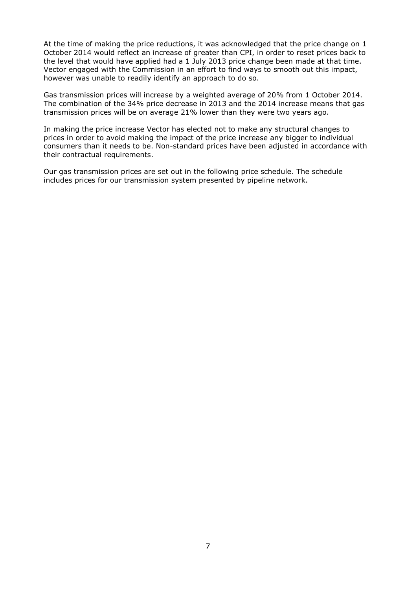At the time of making the price reductions, it was acknowledged that the price change on 1 October 2014 would reflect an increase of greater than CPI, in order to reset prices back to the level that would have applied had a 1 July 2013 price change been made at that time. Vector engaged with the Commission in an effort to find ways to smooth out this impact, however was unable to readily identify an approach to do so.

Gas transmission prices will increase by a weighted average of 20% from 1 October 2014. The combination of the 34% price decrease in 2013 and the 2014 increase means that gas transmission prices will be on average 21% lower than they were two years ago.

In making the price increase Vector has elected not to make any structural changes to prices in order to avoid making the impact of the price increase any bigger to individual consumers than it needs to be. Non-standard prices have been adjusted in accordance with their contractual requirements.

Our gas transmission prices are set out in the following price schedule. The schedule includes prices for our transmission system presented by pipeline network.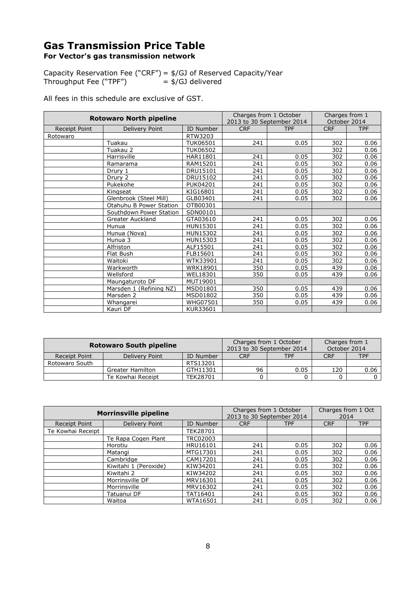# **Gas Transmission Price Table For Vector's gas transmission network**

Capacity Reservation Fee ("CRF") = \$/GJ of Reserved Capacity/Year Throughput Fee ("TPF") = \$/GJ delivered

All fees in this schedule are exclusive of GST.

| <b>Rotowaro North pipeline</b> |                         | Charges from 1 October<br>2013 to 30 September 2014 |            | Charges from 1<br>October 2014 |            |            |
|--------------------------------|-------------------------|-----------------------------------------------------|------------|--------------------------------|------------|------------|
| Receipt Point                  | Delivery Point          | ID Number                                           | <b>CRF</b> | <b>TPF</b>                     | <b>CRF</b> | <b>TPF</b> |
| Rotowaro                       |                         | RTW3203                                             |            |                                |            |            |
|                                | Tuakau                  | <b>TUK06501</b>                                     | 241        | 0.05                           | 302        | 0.06       |
|                                | Tuakau 2                | <b>TUK06502</b>                                     |            |                                | 302        | 0.06       |
|                                | Harrisville             | HAR11801                                            | 241        | 0.05                           | 302        | 0.06       |
|                                | Ramarama                | RAM15201                                            | 241        | 0.05                           | 302        | 0.06       |
|                                | Drury 1                 | DRU15101                                            | 241        | 0.05                           | 302        | 0.06       |
|                                | Drury 2                 | DRU15102                                            | 241        | 0.05                           | 302        | 0.06       |
|                                | Pukekohe                | <b>PUK04201</b>                                     | 241        | 0.05                           | 302        | 0.06       |
|                                | Kingseat                | KIG16801                                            | 241        | 0.05                           | 302        | 0.06       |
|                                | Glenbrook (Steel Mill)  | GLB03401                                            | 241        | 0.05                           | 302        | 0.06       |
|                                | Otahuhu B Power Station | OTB00301                                            |            |                                |            |            |
|                                | Southdown Power Station | SDN00101                                            |            |                                |            |            |
|                                | Greater Auckland        | GTA03610                                            | 241        | 0.05                           | 302        | 0.06       |
|                                | Hunua                   | HUN15301                                            | 241        | 0.05                           | 302        | 0.06       |
|                                | Hunua (Nova)            | HUN15302                                            | 241        | 0.05                           | 302        | 0.06       |
|                                | Hunua 3                 | HUN15303                                            | 241        | 0.05                           | 302        | 0.06       |
|                                | Alfriston               | ALF15501                                            | 241        | 0.05                           | 302        | 0.06       |
|                                | Flat Bush               | FLB15601                                            | 241        | 0.05                           | 302        | 0.06       |
|                                | Waitoki                 | WTK33901                                            | 241        | 0.05                           | 302        | 0.06       |
|                                | Warkworth               | <b>WRK18901</b>                                     | 350        | 0.05                           | 439        | 0.06       |
|                                | Wellsford               | WEL18301                                            | 350        | 0.05                           | 439        | 0.06       |
|                                | Maungaturoto DF         | MUT19001                                            |            |                                |            |            |
|                                | Marsden 1 (Refining NZ) | MSD01801                                            | 350        | 0.05                           | 439        | 0.06       |
|                                | Marsden 2               | MSD01802                                            | 350        | 0.05                           | 439        | 0.06       |
|                                | Whangarei               | <b>WHG07501</b>                                     | 350        | 0.05                           | 439        | 0.06       |
|                                | Kauri DF                | KUR33601                                            |            |                                |            |            |

| <b>Rotowaro South pipeline</b> |                         |                 | 2013 to 30 September 2014 | Charges from 1 October | Charges from 1<br>October 2014 |            |
|--------------------------------|-------------------------|-----------------|---------------------------|------------------------|--------------------------------|------------|
| Receipt Point                  | Delivery Point          | ID Number       | <b>CRF</b>                | TPF                    | <b>CRF</b>                     | <b>TPF</b> |
| Rotowaro South                 |                         | RTS13201        |                           |                        |                                |            |
|                                | <b>Greater Hamilton</b> | GTH11301        | 96                        | 0.05                   | 120                            | 0.06       |
|                                | Te Kowhai Receipt       | <b>TEK28701</b> |                           |                        |                                |            |

| <b>Morrinsville pipeline</b> |                       |           | Charges from 1 October<br>2013 to 30 September 2014 |            | Charges from 1 Oct<br>2014 |            |
|------------------------------|-----------------------|-----------|-----------------------------------------------------|------------|----------------------------|------------|
| Receipt Point                | Delivery Point        | ID Number | <b>CRF</b>                                          | <b>TPF</b> | <b>CRF</b>                 | <b>TPF</b> |
| Te Kowhai Receipt            |                       | TEK28701  |                                                     |            |                            |            |
|                              | Te Rapa Cogen Plant   | TRC02003  |                                                     |            |                            |            |
|                              | Horotiu               | HRU16101  | 241                                                 | 0.05       | 302                        | 0.06       |
|                              | Matangi               | MTG17301  | 241                                                 | 0.05       | 302                        | 0.06       |
|                              | Cambridge             | CAM17201  | 241                                                 | 0.05       | 302                        | 0.06       |
|                              | Kiwitahi 1 (Peroxide) | KIW34201  | 241                                                 | 0.05       | 302                        | 0.06       |
|                              | Kiwitahi 2            | KIW34202  | 241                                                 | 0.05       | 302                        | 0.06       |
|                              | Morrinsville DF       | MRV16301  | 241                                                 | 0.05       | 302                        | 0.06       |
|                              | Morrinsville          | MRV16302  | 241                                                 | 0.05       | 302                        | 0.06       |
|                              | Tatuanui DF           | TAT16401  | 241                                                 | 0.05       | 302                        | 0.06       |
|                              | Waitoa                | WTA16501  | 241                                                 | 0.05       | 302                        | 0.06       |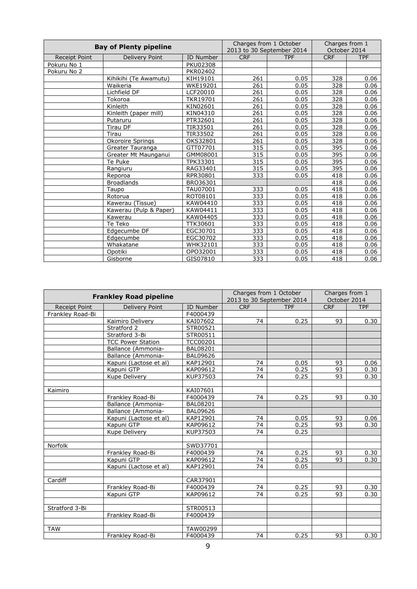| <b>Bay of Plenty pipeline</b> |                        | Charges from 1 October |            | Charges from 1            |                  |              |
|-------------------------------|------------------------|------------------------|------------|---------------------------|------------------|--------------|
|                               |                        |                        |            | 2013 to 30 September 2014 |                  | October 2014 |
| <b>Receipt Point</b>          | Delivery Point         | ID Number              | <b>CRF</b> | <b>TPF</b>                | <b>CRF</b>       | <b>TPF</b>   |
| Pokuru No 1                   |                        | <b>PKU02308</b>        |            |                           |                  |              |
| Pokuru No 2                   |                        | PKR02402               |            |                           |                  |              |
|                               | Kihikihi (Te Awamutu)  | KIH19101               | 261        | 0.05                      | 328              | 0.06         |
|                               | Waikeria               | <b>WKE19201</b>        | 261        | 0.05                      | 328              | 0.06         |
|                               | Lichfield DF           | LCF20010               | 261        | 0.05                      | 328              | 0.06         |
|                               | Tokoroa                | <b>TKR19701</b>        | 261        | 0.05                      | 328              | 0.06         |
|                               | Kinleith               | KIN02601               | 261        | 0.05                      | 328              | 0.06         |
|                               | Kinleith (paper mill)  | KIN04310               | 261        | 0.05                      | 328              | 0.06         |
|                               | Putaruru               | PTR32601               | 261        | 0.05                      | 328              | 0.06         |
|                               | Tirau DF               | TIR33501               | 261        | 0.05                      | 328              | 0.06         |
|                               | Tirau                  | TIR33502               | 261        | 0.05                      | 328              | 0.06         |
|                               | Okoroire Springs       | OKS32801               | 261        | 0.05                      | 328              | 0.06         |
|                               | Greater Tauranga       | GTT07701               | 315        | 0.05                      | 395              | 0.06         |
|                               | Greater Mt Maunganui   | GMM08001               | 315        | 0.05                      | $\overline{395}$ | 0.06         |
|                               | Te Puke                | TPK33301               | 315        | 0.05                      | 395              | 0.06         |
|                               | Rangiuru               | RAG33401               | 315        | 0.05                      | 395              | 0.06         |
|                               | Reporoa                | RPR30801               | 333        | 0.05                      | 418              | 0.06         |
|                               | <b>Broadlands</b>      | BRO36301               |            |                           | 418              | 0.06         |
|                               | Taupo                  | TAU07001               | 333        | 0.05                      | 418              | 0.06         |
|                               | Rotorua                | ROT08101               | 333        | 0.05                      | 418              | 0.06         |
|                               | Kawerau (Tissue)       | KAW04410               | 333        | 0.05                      | 418              | 0.06         |
|                               | Kawerau (Pulp & Paper) | KAW04411               | 333        | 0.05                      | 418              | 0.06         |
|                               | Kawerau                | KAW04405               | 333        | 0.05                      | 418              | 0.06         |
|                               | Te Teko                | <b>TTK30601</b>        | 333        | 0.05                      | 418              | 0.06         |
|                               | Edgecumbe DF           | EGC30701               | 333        | 0.05                      | 418              | 0.06         |
|                               | Edgecumbe              | EGC30702               | 333        | 0.05                      | 418              | 0.06         |
|                               | Whakatane              | WHK32101               | 333        | 0.05                      | 418              | 0.06         |
|                               | Opotiki                | OPO32001               | 333        | 0.05                      | 418              | 0.06         |
|                               | Gisborne               | GIS07810               | 333        | 0.05                      | 418              | 0.06         |

| <b>Frankley Road pipeline</b> |                          | Charges from 1 October<br>2013 to 30 September 2014 |                  | Charges from 1<br>October 2014 |            |            |
|-------------------------------|--------------------------|-----------------------------------------------------|------------------|--------------------------------|------------|------------|
| <b>Receipt Point</b>          | Delivery Point           | ID Number                                           | <b>CRF</b>       | <b>TPF</b>                     | <b>CRF</b> | <b>TPF</b> |
| Frankley Road-Bi              |                          | F4000439                                            |                  |                                |            |            |
|                               | Kaimiro Delivery         | KAI07602                                            | 74               | 0.25                           | 93         | 0.30       |
|                               | Stratford 2              | STR00521                                            |                  |                                |            |            |
|                               | Stratford 3-Bi           | STR00511                                            |                  |                                |            |            |
|                               | <b>TCC Power Station</b> | <b>TCC00201</b>                                     |                  |                                |            |            |
|                               | Ballance (Ammonia-       | <b>BAL08201</b>                                     |                  |                                |            |            |
|                               | Ballance (Ammonia-       | <b>BAL09626</b>                                     |                  |                                |            |            |
|                               | Kapuni (Lactose et al)   | KAP12901                                            | 74               | 0.05                           | 93         | 0.06       |
|                               | Kapuni GTP               | KAP09612                                            | 74               | 0.25                           | 93         | 0.30       |
|                               | Kupe Delivery            | KUP37503                                            | 74               | 0.25                           | 93         | 0.30       |
|                               |                          |                                                     |                  |                                |            |            |
| Kaimiro                       |                          | KAI07601                                            |                  |                                |            |            |
|                               | Frankley Road-Bi         | F4000439                                            | 74               | 0.25                           | 93         | 0.30       |
|                               | Ballance (Ammonia-       | <b>BAL08201</b>                                     |                  |                                |            |            |
|                               | Ballance (Ammonia-       | <b>BAL09626</b>                                     |                  |                                |            |            |
|                               | Kapuni (Lactose et al)   | KAP12901                                            | 74               | 0.05                           | 93         | 0.06       |
|                               | Kapuni GTP               | KAP09612                                            | 74               | 0.25                           | 93         | 0.30       |
|                               | Kupe Delivery            | KUP37503                                            | 74               | 0.25                           |            |            |
|                               |                          |                                                     |                  |                                |            |            |
| Norfolk                       |                          | SWD37701                                            |                  |                                |            |            |
|                               | Frankley Road-Bi         | F4000439                                            | 74               | 0.25                           | 93         | 0.30       |
|                               | Kapuni GTP               | KAP09612                                            | 74               | 0.25                           | 93         | 0.30       |
|                               | Kapuni (Lactose et al)   | KAP12901                                            | $\overline{7}$ 4 | 0.05                           |            |            |
|                               |                          |                                                     |                  |                                |            |            |
| Cardiff                       |                          | CAR37901                                            |                  |                                |            |            |
|                               | Frankley Road-Bi         | F4000439                                            | 74               | 0.25                           | 93         | 0.30       |
|                               | Kapuni GTP               | KAP09612                                            | $\overline{74}$  | 0.25                           | 93         | 0.30       |
|                               |                          |                                                     |                  |                                |            |            |
| Stratford 3-Bi                |                          | STR00513                                            |                  |                                |            |            |
|                               | Frankley Road-Bi         | F4000439                                            |                  |                                |            |            |
|                               |                          |                                                     |                  |                                |            |            |
| <b>TAW</b>                    |                          | TAW00299                                            |                  |                                |            |            |
|                               | Frankley Road-Bi         | F4000439                                            | 74               | 0.25                           | 93         | 0.30       |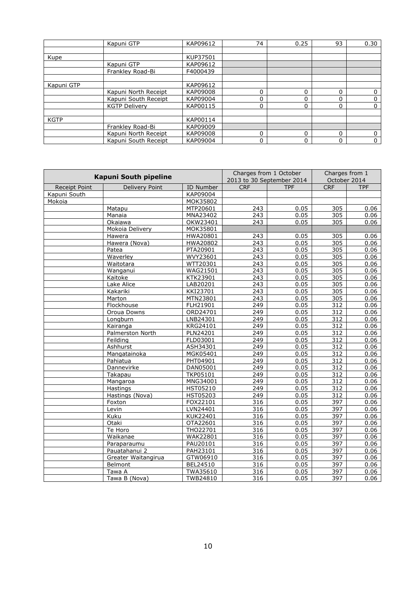|             | Kapuni GTP           | KAP09612 | 74 | 0.25 | 93 | 0.30        |
|-------------|----------------------|----------|----|------|----|-------------|
|             |                      |          |    |      |    |             |
| Kupe        |                      | KUP37501 |    |      |    |             |
|             | Kapuni GTP           | KAP09612 |    |      |    |             |
|             | Frankley Road-Bi     | F4000439 |    |      |    |             |
|             |                      |          |    |      |    |             |
| Kapuni GTP  |                      | KAP09612 |    |      |    |             |
|             | Kapuni North Receipt | KAP09008 | 0  | 0    | 0  | 0           |
|             | Kapuni South Receipt | KAP09004 | 0  | 0    | 0  | 0           |
|             | <b>KGTP Deliverv</b> | KAP00115 | 0  | 0    | 0  | $\mathbf 0$ |
|             |                      |          |    |      |    |             |
| <b>KGTP</b> |                      | KAP00114 |    |      |    |             |
|             | Frankley Road-Bi     | KAP09009 |    |      |    |             |
|             | Kapuni North Receipt | KAP09008 | 0  | 0    | 0  | 0           |
|             | Kapuni South Receipt | KAP09004 | 0  | 0    | 0  | 0           |

| Kapuni South pipeline |                       | Charges from 1 October<br>2013 to 30 September 2014 |                  | Charges from 1<br>October 2014 |            |            |
|-----------------------|-----------------------|-----------------------------------------------------|------------------|--------------------------------|------------|------------|
| <b>Receipt Point</b>  | <b>Delivery Point</b> | ID Number                                           | <b>CRF</b>       | <b>TPF</b>                     | <b>CRF</b> | <b>TPF</b> |
| Kapuni South          |                       | KAP09004                                            |                  |                                |            |            |
| Mokoia                |                       | MOK35802                                            |                  |                                |            |            |
|                       | Matapu                | MTP20601                                            | 243              | 0.05                           | 305        | 0.06       |
|                       | Manaia                | MNA23402                                            | 243              | 0.05                           | 305        | 0.06       |
|                       | Okaiawa               | OKW23401                                            | 243              | 0.05                           | 305        | 0.06       |
|                       | Mokoia Delivery       | MOK35801                                            |                  |                                |            |            |
|                       | Hawera                | HWA20801                                            | 243              | 0.05                           | 305        | 0.06       |
|                       | Hawera (Nova)         | <b>HWA20802</b>                                     | 243              | 0.05                           | 305        | 0.06       |
|                       | Patea                 | PTA20901                                            | 243              | 0.05                           | 305        | 0.06       |
|                       | Waverley              | WVY23601                                            | 243              | 0.05                           | 305        | 0.06       |
|                       | Waitotara             | WTT20301                                            | 243              | 0.05                           | 305        | 0.06       |
|                       | Wanganui              | WAG21501                                            | 243              | 0.05                           | 305        | 0.06       |
|                       | Kaitoke               | KTK23901                                            | 243              | 0.05                           | 305        | 0.06       |
|                       | Lake Alice            | LAB20201                                            | 243              | 0.05                           | 305        | 0.06       |
|                       | Kakariki              | KKI23701                                            | 243              | 0.05                           | 305        | 0.06       |
|                       | Marton                | MTN23801                                            | 243              | 0.05                           | 305        | 0.06       |
|                       | Flockhouse            | FLH21901                                            | $\overline{249}$ | 0.05                           | 312        | 0.06       |
|                       | Oroua Downs           | ORD24701                                            | 249              | 0.05                           | 312        | 0.06       |
|                       | Longburn              | LNB24301                                            | 249              | 0.05                           | 312        | 0.06       |
|                       | Kairanga              | KRG24101                                            | 249              | 0.05                           | 312        | 0.06       |
|                       | Palmerston North      | PLN24201                                            | 249              | 0.05                           | 312        | 0.06       |
|                       | Feilding              | FLD03001                                            | 249              | 0.05                           | 312        | 0.06       |
|                       | Ashhurst              | ASH34301                                            | $\overline{249}$ | 0.05                           | 312        | 0.06       |
|                       | Mangatainoka          | MGK05401                                            | 249              | 0.05                           | 312        | 0.06       |
|                       | Pahiatua              | PHT04901                                            | $\overline{249}$ | 0.05                           | 312        | 0.06       |
|                       | Dannevirke            | DAN05001                                            | 249              | 0.05                           | 312        | 0.06       |
|                       | Takapau               | <b>TKP05101</b>                                     | $\overline{249}$ | 0.05                           | 312        | 0.06       |
|                       | Mangaroa              | MNG34001                                            | $\overline{249}$ | 0.05                           | 312        | 0.06       |
|                       | Hastings              | <b>HST05210</b>                                     | 249              | 0.05                           | 312        | 0.06       |
|                       | Hastings (Nova)       | <b>HST05203</b>                                     | $\overline{249}$ | 0.05                           | 312        | 0.06       |
|                       | Foxton                | FOX22101                                            | 316              | 0.05                           | 397        | 0.06       |
|                       | Levin                 | LVN24401                                            | 316              | 0.05                           | 397        | 0.06       |
|                       | Kuku                  | KUK22401                                            | 316              | 0.05                           | 397        | 0.06       |
|                       | Otaki                 | OTA22601                                            | 316              | 0.05                           | 397        | 0.06       |
|                       | Te Horo               | THO22701                                            | 316              | 0.05                           | 397        | 0.06       |
|                       | Waikanae              | WAK22801                                            | 316              | 0.05                           | 397        | 0.06       |
|                       | Paraparaumu           | PAU20101                                            | 316              | 0.05                           | 397        | 0.06       |
|                       | Pauatahanui 2         | PAH23101                                            | 316              | 0.05                           | 397        | 0.06       |
|                       | Greater Waitangirua   | GTW06910                                            | 316              | 0.05                           | 397        | 0.06       |
|                       | Belmont               | BEL24510                                            | 316              | 0.05                           | 397        | 0.06       |
|                       | Tawa A                | TWA35610                                            | 316              | 0.05                           | 397        | 0.06       |
|                       | Tawa B (Nova)         | TWB24810                                            | 316              | 0.05                           | 397        | 0.06       |